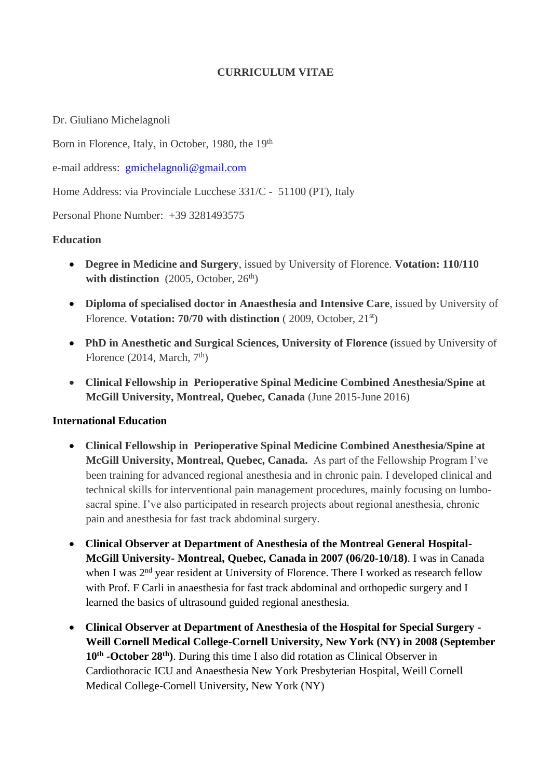# **CURRICULUM VITAE**

Dr. Giuliano Michelagnoli

Born in Florence, Italy, in October, 1980, the 19th

e-mail address: [gmichelagnoli@gmail.com](mailto:gmichelagnoli@gmail.com)

Home Address: via Provinciale Lucchese 331/C - 51100 (PT), Italy

Personal Phone Number: +39 3281493575

# **Education**

- **Degree in Medicine and Surgery**, issued by University of Florence. **Votation: 110/110**  with distinction (2005, October, 26<sup>th</sup>)
- **Diploma of specialised doctor in Anaesthesia and Intensive Care**, issued by University of Florence. **Votation: 70/70 with distinction** ( 2009, October, 21st)
- **PhD in Anesthetic and Surgical Sciences, University of Florence (**issued by University of Florence (2014, March,  $7<sup>th</sup>$ )
- **Clinical Fellowship in Perioperative Spinal Medicine Combined Anesthesia/Spine at McGill University, Montreal, Quebec, Canada** (June 2015-June 2016)

# **International Education**

- **Clinical Fellowship in Perioperative Spinal Medicine Combined Anesthesia/Spine at McGill University, Montreal, Quebec, Canada.** As part of the Fellowship Program I've been training for advanced regional anesthesia and in chronic pain. I developed clinical and technical skills for interventional pain management procedures, mainly focusing on lumbosacral spine. I've also participated in research projects about regional anesthesia, chronic pain and anesthesia for fast track abdominal surgery.
- **Clinical Observer at Department of Anesthesia of the Montreal General Hospital-McGill University- Montreal, Quebec, Canada in 2007 (06/20-10/18)**. I was in Canada when I was  $2<sup>nd</sup>$  vear resident at University of Florence. There I worked as research fellow with Prof. F Carli in anaesthesia for fast track abdominal and orthopedic surgery and I learned the basics of ultrasound guided regional anesthesia.
- **Clinical Observer at Department of Anesthesia of the Hospital for Special Surgery - Weill Cornell Medical College-Cornell University, New York (NY) in 2008 (September 10th -October 28th)**. During this time I also did rotation as Clinical Observer in Cardiothoracic ICU and Anaesthesia New York Presbyterian Hospital, Weill Cornell Medical College-Cornell University, New York (NY)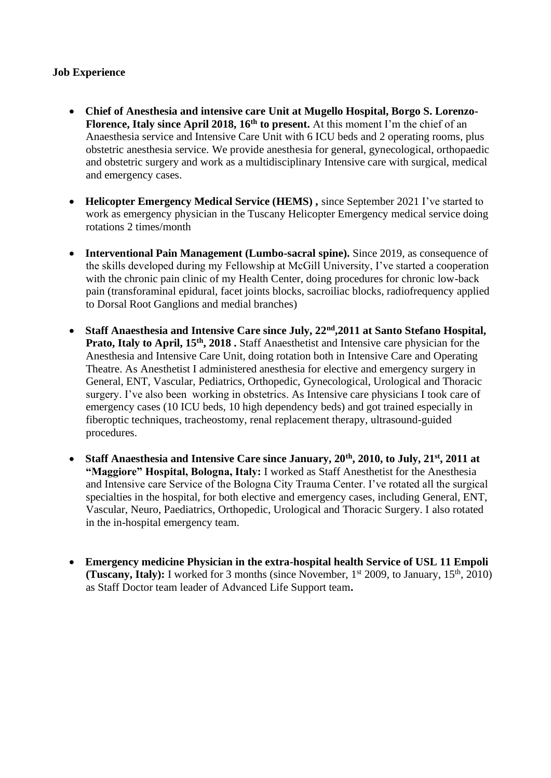# **Job Experience**

- **Chief of Anesthesia and intensive care Unit at Mugello Hospital, Borgo S. Lorenzo-Florence, Italy since April 2018, 16<sup>th</sup> to present.** At this moment I'm the chief of an Anaesthesia service and Intensive Care Unit with 6 ICU beds and 2 operating rooms, plus obstetric anesthesia service. We provide anesthesia for general, gynecological, orthopaedic and obstetric surgery and work as a multidisciplinary Intensive care with surgical, medical and emergency cases.
- **Helicopter Emergency Medical Service (HEMS) ,** since September 2021 I've started to work as emergency physician in the Tuscany Helicopter Emergency medical service doing rotations 2 times/month
- **Interventional Pain Management (Lumbo-sacral spine).** Since 2019, as consequence of the skills developed during my Fellowship at McGill University, I've started a cooperation with the chronic pain clinic of my Health Center, doing procedures for chronic low-back pain (transforaminal epidural, facet joints blocks, sacroiliac blocks, radiofrequency applied to Dorsal Root Ganglions and medial branches)
- **Staff Anaesthesia and Intensive Care since July, 22nd,2011 at Santo Stefano Hospital, Prato, Italy to April, 15<sup>th</sup>, 2018.** Staff Anaesthetist and Intensive care physician for the Anesthesia and Intensive Care Unit, doing rotation both in Intensive Care and Operating Theatre. As Anesthetist I administered anesthesia for elective and emergency surgery in General, ENT, Vascular, Pediatrics, Orthopedic, Gynecological, Urological and Thoracic surgery. I've also been working in obstetrics. As Intensive care physicians I took care of emergency cases (10 ICU beds, 10 high dependency beds) and got trained especially in fiberoptic techniques, tracheostomy, renal replacement therapy, ultrasound-guided procedures.
- **Staff Anaesthesia and Intensive Care since January, 20th, 2010, to July, 21st, 2011 at "Maggiore" Hospital, Bologna, Italy:** I worked as Staff Anesthetist for the Anesthesia and Intensive care Service of the Bologna City Trauma Center. I've rotated all the surgical specialties in the hospital, for both elective and emergency cases, including General, ENT, Vascular, Neuro, Paediatrics, Orthopedic, Urological and Thoracic Surgery. I also rotated in the in-hospital emergency team.
- **Emergency medicine Physician in the extra-hospital health Service of USL 11 Empoli (Tuscany, Italy):** I worked for 3 months (since November, 1<sup>st</sup> 2009, to January, 15<sup>th</sup>, 2010) as Staff Doctor team leader of Advanced Life Support team**.**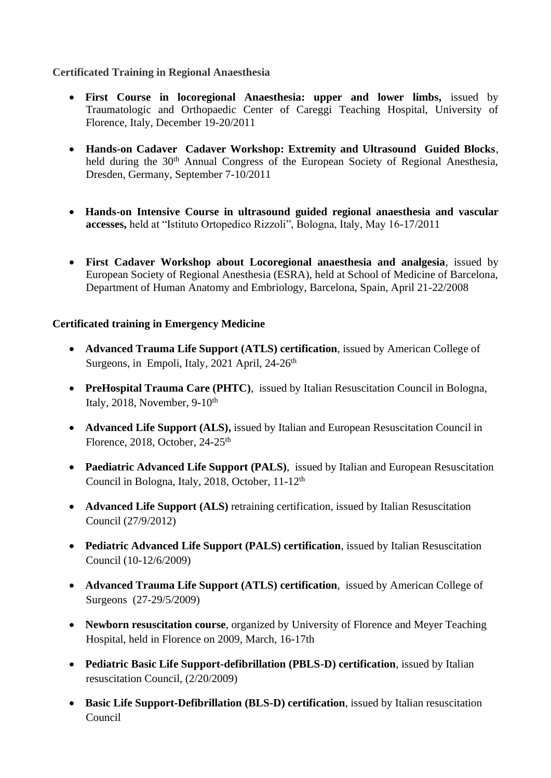# **Certificated Training in Regional Anaesthesia**

- **First Course in locoregional Anaesthesia: upper and lower limbs,** issued by Traumatologic and Orthopaedic Center of Careggi Teaching Hospital, University of Florence, Italy, December 19-20/2011
- **Hands-on Cadaver Cadaver Workshop: Extremity and Ultrasound Guided Blocks**, held during the 30<sup>th</sup> Annual Congress of the European Society of Regional Anesthesia, Dresden, Germany, September 7-10/2011
- **Hands-on Intensive Course in ultrasound guided regional anaesthesia and vascular accesses,** held at "Istituto Ortopedico Rizzoli", Bologna, Italy, May 16-17/2011
- **First Cadaver Workshop about Locoregional anaesthesia and analgesia**, issued by European Society of Regional Anesthesia (ESRA), held at School of Medicine of Barcelona, Department of Human Anatomy and Embriology, Barcelona, Spain, April 21-22/2008

# **Certificated training in Emergency Medicine**

- **Advanced Trauma Life Support (ATLS) certification**, issued by American College of Surgeons, in Empoli, Italy, 2021 April,  $24-26$ <sup>th</sup>
- **PreHospital Trauma Care (PHTC)**, issued by Italian Resuscitation Council in Bologna, Italy, 2018, November,  $9-10<sup>th</sup>$
- **Advanced Life Support (ALS),** issued by Italian and European Resuscitation Council in Florence, 2018, October, 24-25<sup>th</sup>
- **Paediatric Advanced Life Support (PALS)**, issued by Italian and European Resuscitation Council in Bologna, Italy, 2018, October, 11-12th
- **Advanced Life Support (ALS)** retraining certification, issued by Italian Resuscitation Council (27/9/2012)
- **Pediatric Advanced Life Support (PALS) certification**, issued by Italian Resuscitation Council (10-12/6/2009)
- **Advanced Trauma Life Support (ATLS) certification**, issued by American College of Surgeons (27-29/5/2009)
- **Newborn resuscitation course**, organized by University of Florence and Meyer Teaching Hospital, held in Florence on 2009, March, 16-17th
- **Pediatric Basic Life Support-defibrillation (PBLS-D) certification**, issued by Italian resuscitation Council, (2/20/2009)
- **Basic Life Support-Defibrillation (BLS-D) certification**, issued by Italian resuscitation Council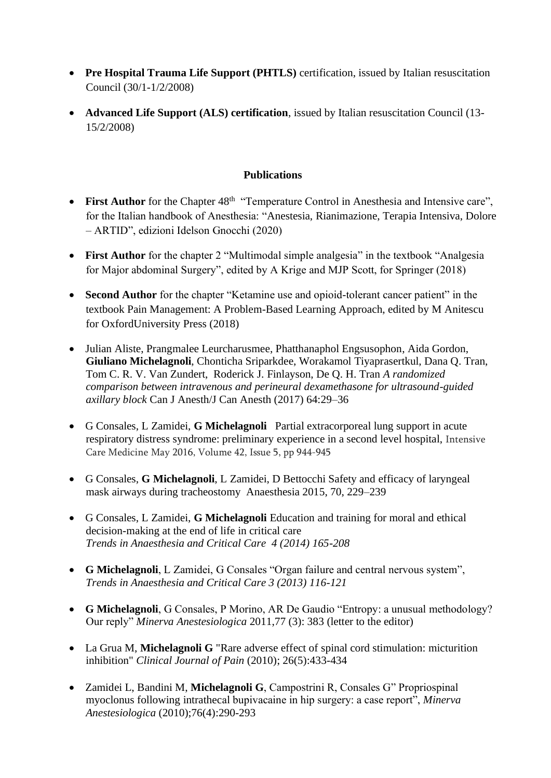- **Pre Hospital Trauma Life Support (PHTLS)** certification, issued by Italian resuscitation Council (30/1-1/2/2008)
- **Advanced Life Support (ALS) certification**, issued by Italian resuscitation Council (13- 15/2/2008)

## **Publications**

- First Author for the Chapter 48<sup>th</sup> "Temperature Control in Anesthesia and Intensive care", for the Italian handbook of Anesthesia: "Anestesia, Rianimazione, Terapia Intensiva, Dolore – ARTID", edizioni Idelson Gnocchi (2020)
- **First Author** for the chapter 2 "Multimodal simple analgesia" in the textbook "Analgesia" for Major abdominal Surgery", edited by A Krige and MJP Scott, for Springer (2018)
- **Second Author** for the chapter "Ketamine use and opioid-tolerant cancer patient" in the textbook Pain Management: A Problem-Based Learning Approach, edited by M Anitescu for OxfordUniversity Press (2018)
- Julian Aliste, Prangmalee Leurcharusmee, Phatthanaphol Engsusophon, Aida Gordon, **Giuliano Michelagnoli**, Chonticha Sriparkdee, Worakamol Tiyaprasertkul, Dana Q. Tran, Tom C. R. V. Van Zundert, Roderick J. Finlayson, De Q. H. Tran *A randomized comparison between intravenous and perineural dexamethasone for ultrasound-guided axillary block* Can J Anesth/J Can Anesth (2017) 64:29–36
- G Consales, L Zamidei, **G Michelagnoli**Partial extracorporeal lung support in acute respiratory distress syndrome: preliminary experience in a second level hospital, [Intensive](http://link.springer.com/journal/134)  [Care Medicine](http://link.springer.com/journal/134) May 2016, Volume 42, [Issue](http://link.springer.com/journal/134/42/5/page/1) 5, pp 944-945
- G Consales, **G Michelagnoli**, L Zamidei, D Bettocchi Safety and efficacy of laryngeal mask airways during tracheostomy Anaesthesia 2015, 70, 229–239
- G Consales, L Zamidei, **G Michelagnoli** Education and training for moral and ethical decision-making at the end of life in critical care  *Trends in Anaesthesia and Critical Care 4 (2014) 165-208*
- **G Michelagnoli**, L Zamidei, G Consales "Organ failure and central nervous system", *Trends in Anaesthesia and Critical Care 3 (2013) 116-121*
- **G Michelagnoli**, G Consales, P Morino, AR De Gaudio "Entropy: a unusual methodology? Our reply" *Minerva Anestesiologica* 2011,77 (3): 383 (letter to the editor)
- La Grua M, **Michelagnoli G** "Rare adverse effect of spinal cord stimulation: micturition inhibition" *Clinical Journal of Pain* (2010); 26(5):433-434
- Zamidei L, Bandini M, **Michelagnoli G**, Campostrini R, Consales G" Propriospinal myoclonus following intrathecal bupivacaine in hip surgery: a case report", *Minerva Anestesiologica* (2010);76(4):290-293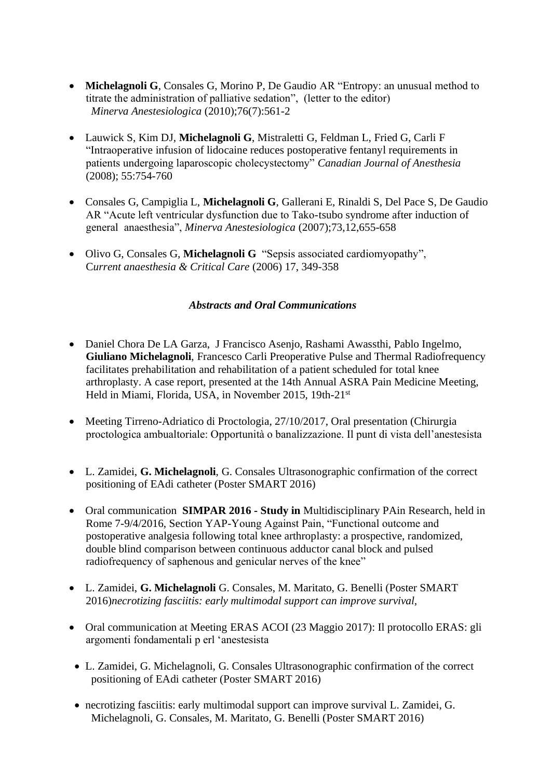- **Michelagnoli G**, Consales G, Morino P, De Gaudio AR "Entropy: an unusual method to titrate the administration of palliative sedation", (letter to the editor)  *Minerva Anestesiologica* (2010);76(7):561-2
- Lauwick S, Kim DJ, **Michelagnoli G**, Mistraletti G, Feldman L, Fried G, Carli F "Intraoperative infusion of lidocaine reduces postoperative fentanyl requirements in patients undergoing laparoscopic cholecystectomy" *Canadian Journal of Anesthesia* (2008); 55:754-760
- Consales G, Campiglia L, **Michelagnoli G**, Gallerani E, Rinaldi S, Del Pace S, De Gaudio AR "Acute left ventricular dysfunction due to Tako-tsubo syndrome after induction of general anaesthesia", *Minerva Anestesiologica* (2007);73,12,655-658
- Olivo G, Consales G, **Michelagnoli G** "Sepsis associated cardiomyopathy", C*urrent anaesthesia & Critical Care* (2006) 17, 349-358

# *Abstracts and Oral Communications*

- Daniel Chora De LA Garza, J Francisco Asenjo, Rashami Awassthi, Pablo Ingelmo, **Giuliano Michelagnoli**, Francesco Carli Preoperative Pulse and Thermal Radiofrequency facilitates prehabilitation and rehabilitation of a patient scheduled for total knee arthroplasty. A case report, presented at the 14th Annual ASRA Pain Medicine Meeting, Held in Miami, Florida, USA, in November 2015, 19th-21st
- Meeting Tirreno-Adriatico di Proctologia, 27/10/2017, Oral presentation (Chirurgia proctologica ambualtoriale: Opportunità o banalizzazione. Il punt di vista dell'anestesista
- L. Zamidei, **G. Michelagnoli**, G. Consales Ultrasonographic confirmation of the correct positioning of EAdi catheter (Poster SMART 2016)
- Oral communication **SIMPAR 2016 - Study in** Multidisciplinary PAin Research, held in Rome 7-9/4/2016, Section YAP-Young Against Pain, "Functional outcome and postoperative analgesia following total knee arthroplasty: a prospective, randomized, double blind comparison between continuous adductor canal block and pulsed radiofrequency of saphenous and genicular nerves of the knee"
- L. Zamidei, **G. Michelagnoli** G. Consales, M. Maritato, G. Benelli (Poster SMART 2016)*necrotizing fasciitis: early multimodal support can improve survival,*
- Oral communication at Meeting ERAS ACOI (23 Maggio 2017): Il protocollo ERAS: gli argomenti fondamentali p erl 'anestesista
- L. Zamidei, G. Michelagnoli, G. Consales Ultrasonographic confirmation of the correct positioning of EAdi catheter (Poster SMART 2016)
- necrotizing fasciitis: early multimodal support can improve survival L. Zamidei, G. Michelagnoli, G. Consales, M. Maritato, G. Benelli (Poster SMART 2016)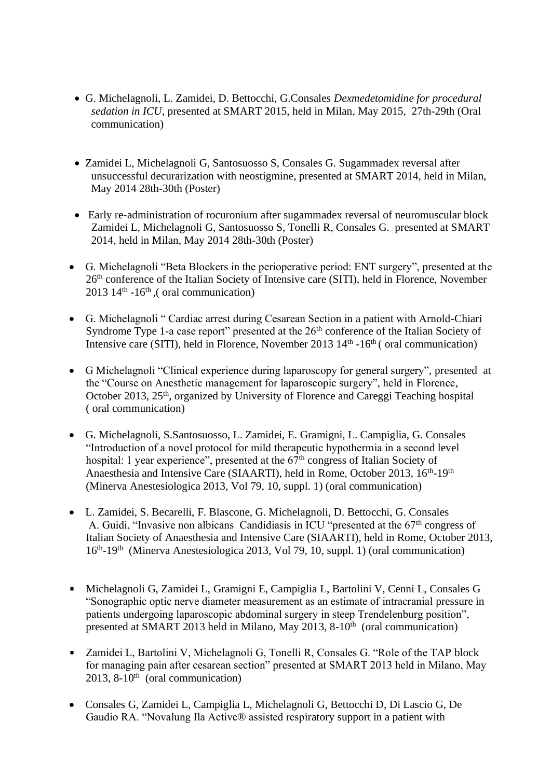- G. Michelagnoli, L. Zamidei, D. Bettocchi, G.Consales *Dexmedetomidine for procedural sedation in ICU,* presented at SMART 2015, held in Milan, May 2015, 27th-29th (Oral communication)
- Zamidei L, Michelagnoli G, Santosuosso S, Consales G. Sugammadex reversal after unsuccessful decurarization with neostigmine, presented at SMART 2014, held in Milan, May 2014 28th-30th (Poster)
- Early re-administration of rocuronium after sugammadex reversal of neuromuscular block Zamidei L, Michelagnoli G, Santosuosso S, Tonelli R, Consales G. presented at SMART 2014, held in Milan, May 2014 28th-30th (Poster)
- G. Michelagnoli "Beta Blockers in the perioperative period: ENT surgery", presented at the 26th conference of the Italian Society of Intensive care (SITI), held in Florence, November  $2013 \; 14^{\text{th}}$  -16<sup>th</sup>, (oral communication)
- G. Michelagnoli " Cardiac arrest during Cesarean Section in a patient with Arnold-Chiari Syndrome Type 1-a case report" presented at the 26<sup>th</sup> conference of the Italian Society of Intensive care (SITI), held in Florence, November 2013 14<sup>th</sup> -16<sup>th</sup> (oral communication)
- G Michelagnoli "Clinical experience during laparoscopy for general surgery", presented at the "Course on Anesthetic management for laparoscopic surgery", held in Florence, October 2013, 25<sup>th</sup>, organized by University of Florence and Careggi Teaching hospital ( oral communication)
- G. Michelagnoli, S.Santosuosso, L. Zamidei, E. Gramigni, L. Campiglia, G. Consales "Introduction of a novel protocol for mild therapeutic hypothermia in a second level hospital: 1 year experience", presented at the 67<sup>th</sup> congress of Italian Society of Anaesthesia and Intensive Care (SIAARTI), held in Rome, October 2013, 16<sup>th</sup>-19<sup>th</sup> (Minerva Anestesiologica 2013, Vol 79, 10, suppl. 1) (oral communication)
- L. Zamidei, S. Becarelli, F. Blascone, G. Michelagnoli, D. Bettocchi, G. Consales A. Guidi, "Invasive non albicans Candidiasis in ICU "presented at the 67<sup>th</sup> congress of Italian Society of Anaesthesia and Intensive Care (SIAARTI), held in Rome, October 2013, 16<sup>th</sup>-19<sup>th</sup> (Minerva Anestesiologica 2013, Vol 79, 10, suppl. 1) (oral communication)
- Michelagnoli G, Zamidei L, Gramigni E, Campiglia L, Bartolini V, Cenni L, Consales G "Sonographic optic nerve diameter measurement as an estimate of intracranial pressure in patients undergoing laparoscopic abdominal surgery in steep Trendelenburg position", presented at SMART 2013 held in Milano, May 2013, 8-10<sup>th</sup> (oral communication)
- $\mathbf{u}$  . Zamidei L, Bartolini V, Michelagnoli G, Tonelli R, Consales G. "Role of the TAP block for managing pain after cesarean section" presented at SMART 2013 held in Milano, May 2013, 8-10<sup>th</sup> (oral communication)
- Consales G, Zamidei L, Campiglia L, Michelagnoli G, Bettocchi D, Di Lascio G, De Gaudio RA. "Novalung Ila Active® assisted respiratory support in a patient with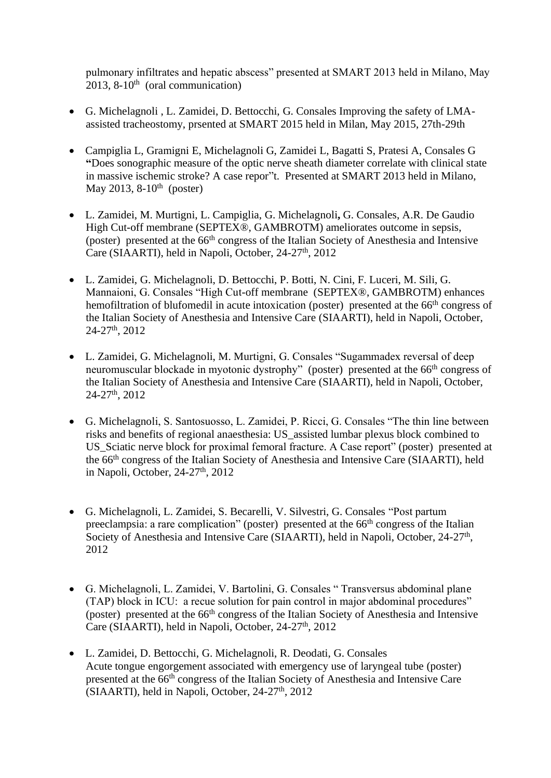pulmonary infiltrates and hepatic abscess" presented at SMART 2013 held in Milano, May  $2013$ ,  $8-10^{th}$  (oral communication)

- G. Michelagnoli , L. Zamidei, D. Bettocchi, G. Consales Improving the safety of LMAassisted tracheostomy, prsented at SMART 2015 held in Milan, May 2015, 27th-29th
- Campiglia L, Gramigni E, Michelagnoli G, Zamidei L, Bagatti S, Pratesi A, Consales G **"**Does sonographic measure of the optic nerve sheath diameter correlate with clinical state in massive ischemic stroke? A case repor"t. Presented at SMART 2013 held in Milano, May 2013,  $8-10^{th}$  (poster)
- L. Zamidei, M. Murtigni, L. Campiglia, G. Michelagnoli**,** G. Consales, A.R. De Gaudio High Cut-off membrane (SEPTEX®, GAMBROTM) ameliorates outcome in sepsis, (poster) presented at the 66th congress of the Italian Society of Anesthesia and Intensive Care (SIAARTI), held in Napoli, October, 24-27<sup>th</sup>, 2012
- L. Zamidei, G. Michelagnoli, D. Bettocchi, P. Botti, N. Cini, F. Luceri, M. Sili, G. Mannaioni, G. Consales "High Cut-off membrane (SEPTEX®, GAMBROTM) enhances hemofiltration of blufomedil in acute intoxication (poster) presented at the 66<sup>th</sup> congress of the Italian Society of Anesthesia and Intensive Care (SIAARTI), held in Napoli, October, 24-27th, 2012
- L. Zamidei, G. Michelagnoli, M. Murtigni, G. Consales "Sugammadex reversal of deep neuromuscular blockade in myotonic dystrophy" (poster) presented at the 66<sup>th</sup> congress of the Italian Society of Anesthesia and Intensive Care (SIAARTI), held in Napoli, October, 24-27th, 2012
- G. Michelagnoli, S. Santosuosso, L. Zamidei, P. Ricci, G. Consales "The thin line between risks and benefits of regional anaesthesia: US\_assisted lumbar plexus block combined to US Sciatic nerve block for proximal femoral fracture. A Case report" (poster) presented at the 66th congress of the Italian Society of Anesthesia and Intensive Care (SIAARTI), held in Napoli, October, 24-27<sup>th</sup>, 2012
- G. Michelagnoli, L. Zamidei, S. Becarelli, V. Silvestri, G. Consales "Post partum preeclampsia: a rare complication" (poster) presented at the 66<sup>th</sup> congress of the Italian Society of Anesthesia and Intensive Care (SIAARTI), held in Napoli, October, 24-27<sup>th</sup>, 2012
- G. Michelagnoli, L. Zamidei, V. Bartolini, G. Consales " Transversus abdominal plane (TAP) block in ICU: a recue solution for pain control in major abdominal procedures" (poster) presented at the 66th congress of the Italian Society of Anesthesia and Intensive Care (SIAARTI), held in Napoli, October, 24-27<sup>th</sup>, 2012
- L. Zamidei, D. Bettocchi, G. Michelagnoli, R. Deodati, G. Consales Acute tongue engorgement associated with emergency use of laryngeal tube (poster) presented at the 66th congress of the Italian Society of Anesthesia and Intensive Care (SIAARTI), held in Napoli, October,  $24-27<sup>th</sup>$ ,  $2012$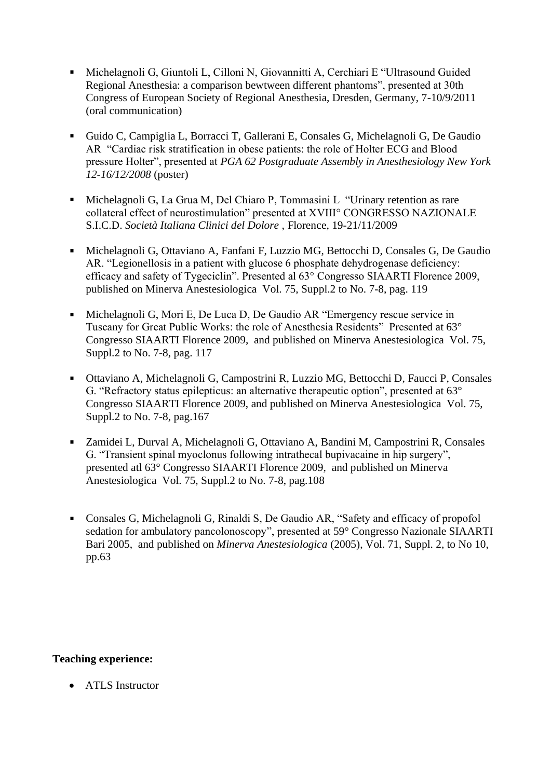- Michelagnoli G, Giuntoli L, Cilloni N, Giovannitti A, Cerchiari E "Ultrasound Guided Regional Anesthesia: a comparison bewtween different phantoms", presented at 30th Congress of European Society of Regional Anesthesia, Dresden, Germany, 7-10/9/2011 (oral communication)
- Guido C, Campiglia L, Borracci T, Gallerani E, Consales G, Michelagnoli G, De Gaudio AR "Cardiac risk stratification in obese patients: the role of Holter ECG and Blood pressure Holter", presented at *PGA 62 Postgraduate Assembly in Anesthesiology New York 12-16/12/2008* (poster)
- Michelagnoli G, La Grua M, Del Chiaro P, Tommasini L "Urinary retention as rare  $\mathbf{u}$  . collateral effect of neurostimulation" presented at XVIII° CONGRESSO NAZIONALE S.I.C.D. *Società Italiana Clinici del Dolore* , Florence, 19-21/11/2009
- $\mathbf{r}$ Michelagnoli G, Ottaviano A, Fanfani F, Luzzio MG, Bettocchi D, Consales G, De Gaudio AR. "Legionellosis in a patient with glucose 6 phosphate dehydrogenase deficiency: efficacy and safety of Tygeciclin". Presented al 63° Congresso SIAARTI Florence 2009, published on Minerva Anestesiologica Vol. 75, Suppl.2 to No. 7-8, pag. 119
- Michelagnoli G, Mori E, De Luca D, De Gaudio AR "Emergency rescue service in  $\blacksquare$ Tuscany for Great Public Works: the role of Anesthesia Residents" Presented at 63° Congresso SIAARTI Florence 2009, and published on Minerva Anestesiologica Vol. 75, Suppl.2 to No. 7-8, pag. 117
- $\mathbf{u}$  . Ottaviano A, Michelagnoli G, Campostrini R, Luzzio MG, Bettocchi D, Faucci P, Consales G. "Refractory status epilepticus: an alternative therapeutic option", presented at 63° Congresso SIAARTI Florence 2009, and published on Minerva Anestesiologica Vol. 75, Suppl.2 to No. 7-8, pag.167
- Zamidei L, Durval A, Michelagnoli G, Ottaviano A, Bandini M, Campostrini R, Consales  $\mathbf{u}$ G. "Transient spinal myoclonus following intrathecal bupivacaine in hip surgery", presented atl 63° Congresso SIAARTI Florence 2009, and published on Minerva Anestesiologica Vol. 75, Suppl.2 to No. 7-8, pag.108
- Consales G, Michelagnoli G, Rinaldi S, De Gaudio AR, "Safety and efficacy of propofol  $\blacksquare$ sedation for ambulatory pancolonoscopy", presented at 59° Congresso Nazionale SIAARTI Bari 2005, and published on *Minerva Anestesiologica* (2005), Vol. 71, Suppl. 2, to No 10, pp.63

# **Teaching experience:**

• ATLS Instructor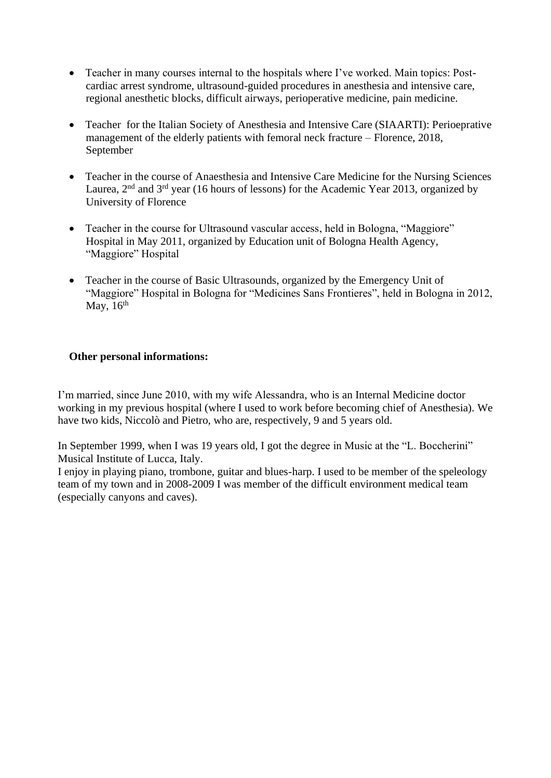- Teacher in many courses internal to the hospitals where I've worked. Main topics: Postcardiac arrest syndrome, ultrasound-guided procedures in anesthesia and intensive care, regional anesthetic blocks, difficult airways, perioperative medicine, pain medicine.
- Teacher for the Italian Society of Anesthesia and Intensive Care (SIAARTI): Perioeprative management of the elderly patients with femoral neck fracture – Florence, 2018, September
- Teacher in the course of Anaesthesia and Intensive Care Medicine for the Nursing Sciences Laurea,  $2<sup>nd</sup>$  and  $3<sup>rd</sup>$  year (16 hours of lessons) for the Academic Year 2013, organized by University of Florence
- Teacher in the course for Ultrasound vascular access, held in Bologna, "Maggiore" Hospital in May 2011, organized by Education unit of Bologna Health Agency, "Maggiore" Hospital
- Teacher in the course of Basic Ultrasounds, organized by the Emergency Unit of "Maggiore" Hospital in Bologna for "Medicines Sans Frontieres", held in Bologna in 2012, May,  $16<sup>th</sup>$

### **Other personal informations:**

I'm married, since June 2010, with my wife Alessandra, who is an Internal Medicine doctor working in my previous hospital (where I used to work before becoming chief of Anesthesia). We have two kids, Niccolò and Pietro, who are, respectively, 9 and 5 years old.

In September 1999, when I was 19 years old, I got the degree in Music at the "L. Boccherini" Musical Institute of Lucca, Italy.

I enjoy in playing piano, trombone, guitar and blues-harp. I used to be member of the speleology team of my town and in 2008-2009 I was member of the difficult environment medical team (especially canyons and caves).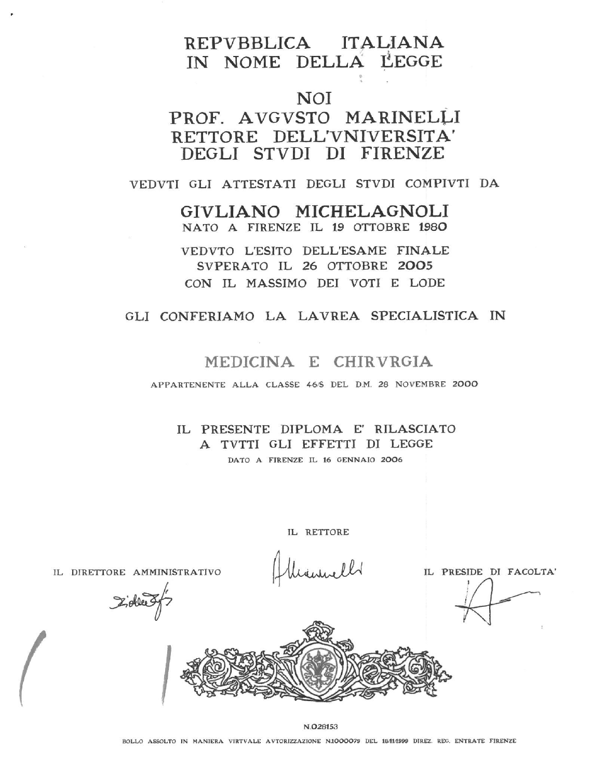# REPVBBLICA ITALIANA IN NOME DELLA LEGGE

# **NOI**

# PROF. AVGVSTO MARINELLI RETTORE DELL'VNIVERSITA' DEGLI STVDI DI FIRENZE

#### VEDVTI GLI ATTESTATI DEGLI STVDI COMPIVTI DA

GIVLIANO MICHELAGNOLI NATO A FIRENZE IL 19 OTTOBRE 1980

VEDVTO L'ESITO DELL'ESAME FINALE SVPERATO IL 26 OTTOBRE 2005 CON IL MASSIMO DEI VOTI E LODE

### GLI CONFERIAMO LA LAVREA SPECIALISTICA IN

# MEDICINA E CHIRVRGIA

APPARTENENTE ALLA CLASSE 46/S DEL D.M. 28 NOVEMBRE 2000

IL PRESENTE DIPLOMA E' RILASCIATO A TVTTI GLI EFFETTI DI LEGGE DATO A FIRENZE IL 16 GENNAIO 2006

IL RETTORE

IL DIRETTORE AMMINISTRATIVO

IL PRESIDE DI FACOLTA'

Zielles



N.028153

BOLLO ASSOLTO IN MANIERA VIRTVALE AVTORIZZAZIONE N1000079 DEL 1811/1999 DIREZ. REG. ENTRATE FIRENZE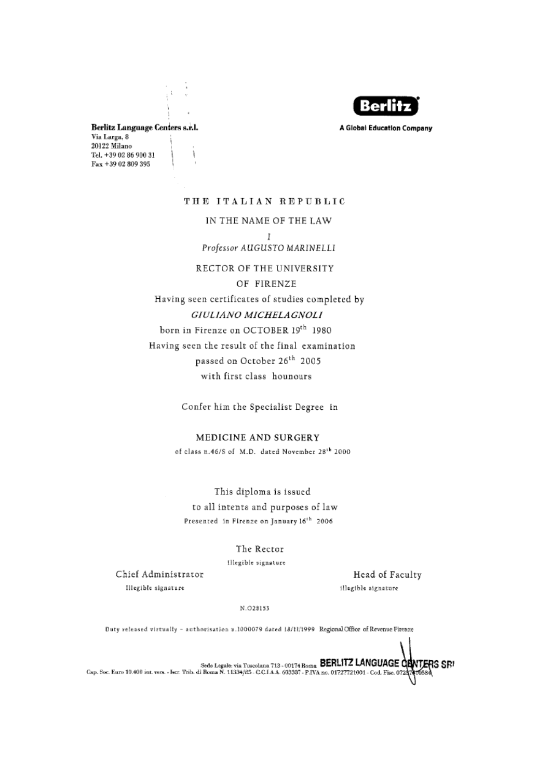

A Global Education Company

Berlitz Language Centers s.r.l. Via Larga, 8 20122 Milano Tel. +39 02 86 900 31 ì Fax +39 02 809 395

# THE ITALIAN REPUBLIC

### IN THE NAME OF THE LAW Ī

Professor AUGUSTO MARINELLI

RECTOR OF THE UNIVERSITY

OF FIRENZE

Having seen certificates of studies completed by

### GIULIANO MICHELAGNOLI

born in Firenze on OCTOBER 19<sup>th</sup> 1980 Having seen the result of the final examination passed on October 26<sup>th</sup> 2005 with first class hounours

Confer him the Specialist Degree in

#### MEDICINE AND SURGERY

of class n.46/S of M.D. dated November 28<sup>th</sup> 2000

This diploma is issued to all intents and purposes of law Presented in Firenze on January 16<sup>th</sup> 2006

#### The Rector

Illegible signature

Chief Administrator Illegible signature

Head of Faculty illegible signature

N.028153

Duty released virtually - authorisation n.1000079 dated 18/11/1999 RegionalOffice of Revenue Firenze

Sede Legale: via Tuscolana 713 - 00174 Rome BERLITZ LANGUAGE ORNTERS SRI<br>Cap. Soc. Euro 10.400 int. vers. - Iscr. Trib. di Roma N. 11334/85 - C.C.I.A.A. 603387 - P.IVA no. 01727721001 - Cod. Fisc. 07237416534